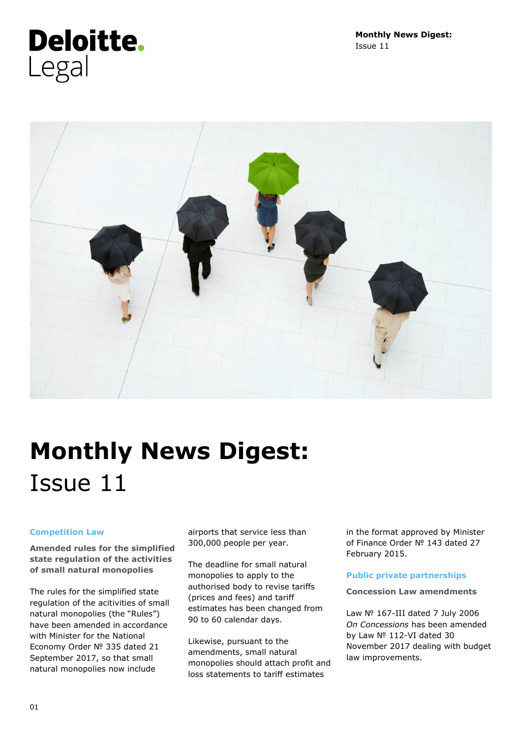**Monthly News Digest:**  Issue 11

# **Deloitte.** Legal



# **Monthly News Digest:**  Issue 11

### **Competition Law**

**Amended rules for the simplified state regulation of the activities of small natural monopolies**

The rules for the simplified state regulation of the acitivities of small natural monopolies (the "Rules") have been amended in accordance with Minister for the National Economy Order № 335 dated 21 September 2017, so that small natural monopolies now include

airports that service less than 300,000 people per year.

The deadline for small natural monopolies to apply to the authorised body to revise tariffs (prices and fees) and tariff estimates has been changed from 90 to 60 calendar days.

Likewise, pursuant to the amendments, small natural monopolies should attach profit and loss statements to tariff estimates

in the format approved by Minister of Finance Order № 143 dated 27 February 2015.

### **Public private partnerships**

#### **Concession Law amendments**

Law № 167-III dated 7 July 2006 *On Concessions* has been amended by Law № 112-VI dated 30 November 2017 dealing with budget law improvements.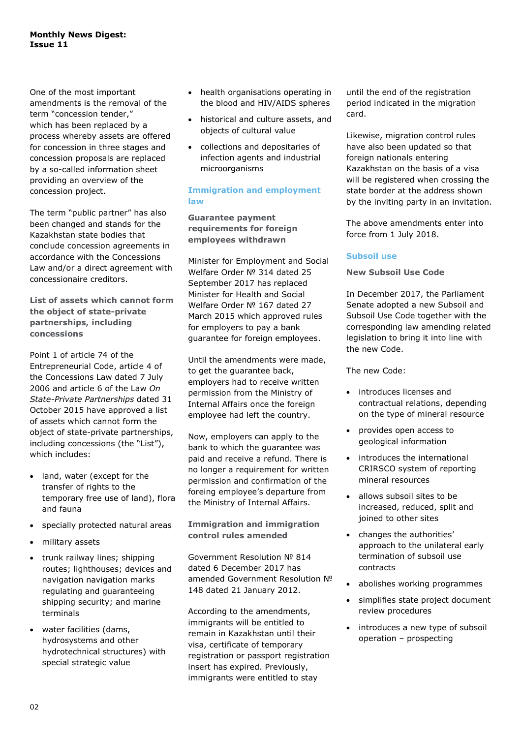#### **Monthly News Digest: Issue 11**

One of the most important amendments is the removal of the term "concession tender," which has been replaced by a process whereby assets are offered for concession in three stages and concession proposals are replaced by a so-called information sheet providing an overview of the concession project.

The term "public partner" has also been changed and stands for the Kazakhstan state bodies that conclude concession agreements in accordance with the Concessions Law and/or a direct agreement with concessionaire creditors.

**List of assets which cannot form the object of state-private partnerships, including concessions**

Point 1 of article 74 of the Entrepreneurial Code, article 4 of the Concessions Law dated 7 July 2006 and article 6 of the Law *On State-Private Partnerships* dated 31 October 2015 have approved a list of assets which cannot form the object of state-private partnerships, including concessions (the "List"), which includes:

- land, water (except for the transfer of rights to the temporary free use of land), flora and fauna
- specially protected natural areas
- military assets
- trunk railway lines; shipping routes; lighthouses; devices and navigation navigation marks regulating and guaranteeing shipping security; and marine terminals
- water facilities (dams, hydrosystems and other hydrotechnical structures) with special strategic value
- health organisations operating in the blood and HIV/AIDS spheres
- historical and culture assets, and objects of cultural value
- collections and depositaries of infection agents and industrial microorganisms

### **Immigration and employment law**

**Guarantee payment requirements for foreign employees withdrawn**

Minister for Employment and Social Welfare Order № 314 dated 25 September 2017 has replaced Minister for Health and Social Welfare Order № 167 dated 27 March 2015 which approved rules for employers to pay a bank guarantee for foreign employees.

Until the amendments were made, to get the guarantee back, employers had to receive written permission from the Ministry of Internal Affairs once the foreign employee had left the country.

Now, employers can apply to the bank to which the guarantee was paid and receive a refund. There is no longer a requirement for written permission and confirmation of the foreing employee's departure from the Ministry of Internal Affairs.

# **Immigration and immigration control rules amended**

Government Resolution № 814 dated 6 December 2017 has amended Government Resolution № 148 dated 21 January 2012.

According to the amendments, immigrants will be entitled to remain in Kazakhstan until their visa, certificate of temporary registration or passport registration insert has expired. Previously, immigrants were entitled to stay

until the end of the registration period indicated in the migration card.

Likewise, migration control rules have also been updated so that foreign nationals entering Kazakhstan on the basis of a visa will be registered when crossing the state border at the address shown by the inviting party in an invitation.

The above amendments enter into force from 1 July 2018.

## **Subsoil use**

### **New Subsoil Use Code**

In December 2017, the Parliament Senate adopted a new Subsoil and Subsoil Use Code together with the corresponding law amending related legislation to bring it into line with the new Code.

The new Code:

- introduces licenses and contractual relations, depending on the type of mineral resource
- provides open access to geological information
- introduces the international CRIRSCO system of reporting mineral resources
- allows subsoil sites to be increased, reduced, split and joined to other sites
- changes the authorities' approach to the unilateral early termination of subsoil use contracts
- abolishes working programmes
- simplifies state project document review procedures
- introduces a new type of subsoil operation – prospecting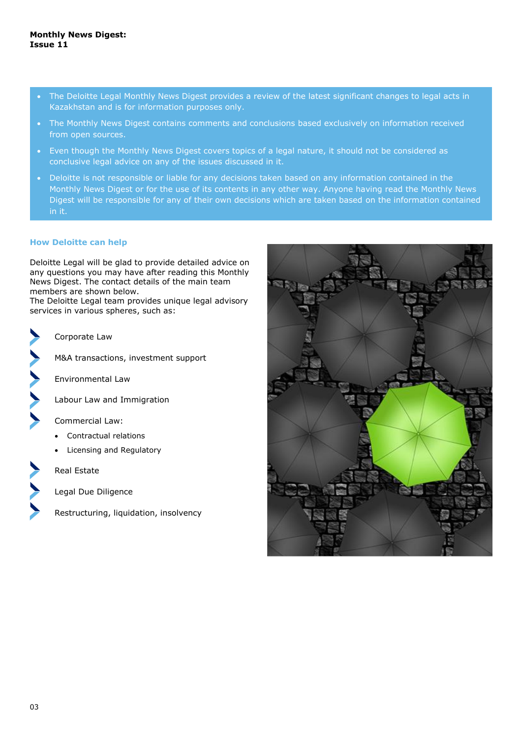- The Deloitte Legal Monthly News Digest provides a review of the latest significant changes to legal acts in Kazakhstan and is for information purposes only.
- The Monthly News Digest contains comments and conclusions based exclusively on information received from open sources.
- Even though the Monthly News Digest covers topics of a legal nature, it should not be considered as conclusive legal advice on any of the issues discussed in it.
- Deloitte is not responsible or liable for any decisions taken based on any information contained in the Monthly News Digest or for the use of its contents in any other way. Anyone having read the Monthly News Digest will be responsible for any of their own decisions which are taken based on the information contained in it.

#### **How Deloitte can help**

Deloitte Legal will be glad to provide detailed advice on any questions you may have after reading this Monthly News Digest. The contact details of the main team members are shown below.

The Deloitte Legal team provides unique legal advisory services in various spheres, such as:



Corporate Law

M&A transactions, investment support

Environmental Law

Labour Law and Immigration

Commercial Law:

- Contractual relations
- Licensing and Regulatory

Real Estate

Legal Due Diligence

Restructuring, liquidation, insolvency